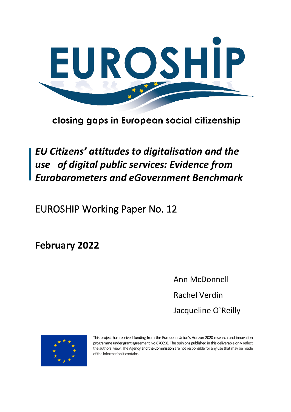

# closing gaps in European social citizenship

# *EU Citizens' attitudes to digitalisation and the use of digital public services: Evidence from Eurobarometers and eGovernment Benchmark*

EUROSHIP Working Paper No. 12

**February 2022** 

Ann McDonnell Rachel Verdin Jacqueline O`Reilly



This project has received funding from the European Union's Horizon 2020 research and innovation programme under grant agreement No 870698. The opinions published in this deliverable only reflect the authors` view. The Agency and the Commission are not responsible for any use that may be made of the information it contains.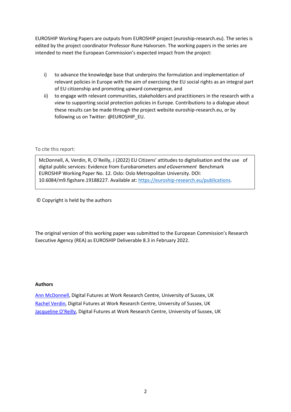EUROSHIP Working Papers are outputs from EUROSHIP project (euroship-research.eu). The series is edited by the project coordinator Professor Rune Halvorsen. The working papers in the series are intended to meet the European Commission's expected impact from the project:

- i) to advance the knowledge base that underpins the formulation and implementation of relevant policies in Europe with the aim of exercising the EU social rights as an integral part of EU citizenship and promoting upward convergence, and
- ii) to engage with relevant communities, stakeholders and practitioners in the research with a view to supporting social protection policies in Europe. Contributions to a dialogue about these results can be made through the project website euroship-research.eu, or by following us on Twitter: @EUROSHIP\_EU.

To cite this report:

McDonnell, A, Verdin, R, O`Reilly, J (2022) EU Citizens' attitudes to digitalisation and the use of digital public services: Evidence from Eurobarometers *and eGovernment* Benchmark EUROSHIP Working Paper No. 12. Oslo: Oslo Metropolitan University. DOI: 10.6084/m9.figshare.19188227. Available at:<https://euroship-research.eu/publications>.

© Copyright is held by the authors

The original version of this working paper was submitted to the European Commission's Research Executive Agency (REA) as EUROSHIP Deliverable 8.3 in February 2022.

#### **Authors**

[Ann McDonnell,](mailto:a.j.m.mcdonnell@sussex.ac.uk) Digital Futures at Work Research Centre, University of Sussex, UK [Rachel Verdin,](mailto:r.f.m.lyons@sussex.ac.uk) Digital Futures at Work Research Centre, University of Sussex, UK [Jacqueline O'Reilly](mailto:j.o-reilly@sussex.ac.uk), Digital Futures at Work Research Centre, University of Sussex, UK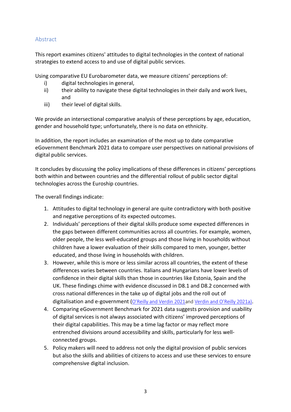## <span id="page-2-0"></span>Abstract

This report examines citizens' attitudes to digital technologies in the context of national strategies to extend access to and use of digital public services.

Using comparative EU Eurobarometer data, we measure citizens' perceptions of:

- i) digital technologies in general,
- ii) their ability to navigate these digital technologies in their daily and work lives, and
- iii) their level of digital skills.

We provide an intersectional comparative analysis of these perceptions by age, education, gender and household type; unfortunately, there is no data on ethnicity.

In addition, the report includes an examination of the most up to date comparative eGovernment Benchmark 2021 data to compare user perspectives on national provisions of digital public services.

It concludes by discussing the policy implications of these differences in citizens' perceptions both within and between countries and the differential rollout of public sector digital technologies across the Euroship countries.

The overall findings indicate:

- 1. Attitudes to digital technology in general are quite contradictory with both positive and negative perceptions of its expected outcomes.
- 2. Individuals' perceptions of their digital skills produce some expected differences in the gaps between different communities across all countries. For example, women, older people, the less well-educated groups and those living in households without children have a lower evaluation of their skills compared to men, younger, better educated, and those living in households with children.
- 3. However, while this is more or less similar across all countries, the extent of these differences varies between countries. Italians and Hungarians have lower levels of confidence in their digital skills than those in countries like Estonia, Spain and the UK. These findings chime with evidence discussed in D8.1 and D8.2 concerned with cross national differences in the take up of digital jobs and the roll out of digitalisation and e-government ([O'Reilly and Verdi](https://euroship-research.eu/wp-content/uploads/2021/12/EUROSHIP-Working-Paper-No.-8-Comparing-the-digital-transformation-of-welfare-delivery-in-Europe.pdf)n 2021and [Verdin and O'Reilly 2021a](https://euroship-research.eu/wp-content/uploads/2021/12/EUROSHIP-Working-Paper-No-9-The-digital-transformation-of-work-and-associated-risks.pdf)).
- 4. Comparing eGovernment Benchmark for 2021 data suggests provision and usability of digital services is not always associated with citizens' improved perceptions of their digital capabilities. This may be a time lag factor or may reflect more entrenched divisions around accessibility and skills, particularly for less wellconnected groups.
- 5. Policy makers will need to address not only the digital provision of public services but also the skills and abilities of citizens to access and use these services to ensure comprehensive digital inclusion.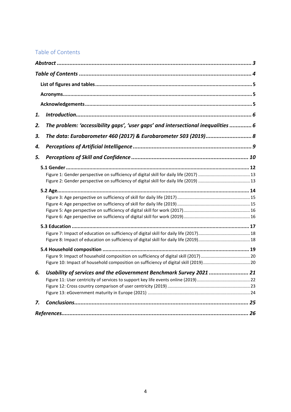# <span id="page-3-0"></span>Table of Contents

| 1. |                                                                                   |  |
|----|-----------------------------------------------------------------------------------|--|
| 2. | The problem: 'accessibility gaps', 'user gaps' and intersectional inequalities  6 |  |
| З. | The data: Eurobarometer 460 (2017) & Eurobarometer 503 (2019) 8                   |  |
| 4. |                                                                                   |  |
| 5. |                                                                                   |  |
|    |                                                                                   |  |
|    |                                                                                   |  |
|    |                                                                                   |  |
|    |                                                                                   |  |
|    |                                                                                   |  |
|    |                                                                                   |  |
|    |                                                                                   |  |
|    |                                                                                   |  |
|    |                                                                                   |  |
|    |                                                                                   |  |
|    |                                                                                   |  |
|    |                                                                                   |  |
|    |                                                                                   |  |
|    |                                                                                   |  |
| 6. | Usability of services and the eGovernment Benchmark Survey 2021  21               |  |
|    |                                                                                   |  |
|    |                                                                                   |  |
|    |                                                                                   |  |
| 7. |                                                                                   |  |
|    |                                                                                   |  |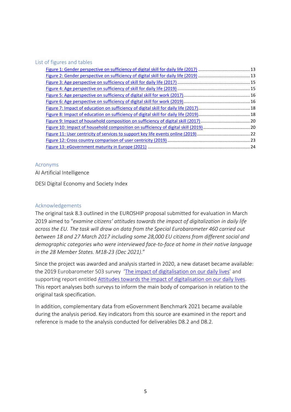#### <span id="page-4-0"></span>List of figures and tables

#### <span id="page-4-1"></span>Acronyms

AI Artificial Intelligence

DESI Digital Economy and Society Index

#### <span id="page-4-2"></span>Acknowledgements

The original task 8.3 outlined in the EUROSHIP proposal submitted for evaluation in March 2019 aimed to "*examine citizens' attitudes towards the impact of digitalization in daily life across the EU. The task will draw on data from the Special Eurobarometer 460 carried out between 18 and 27 March 2017 including some 28,000 EU citizens from different social and demographic categories who were interviewed face-to-face at home in their native language in the 28 Member States. M18-23 (Dec 2021)*."

Since the project was awarded and analysis started in 2020, a new dataset became available: the 2019 Eurobarometer 503 survey '[The impact of digitalisation on our daily lives](https://data.europa.eu/data/datasets/s2228_92_4_503_eng?locale=en)' and supporting report entitled [Attitudes towards the impact of digitalisation on our daily lives.](https://europa.eu/eurobarometer/surveys/detail/2228) This report analyses both surveys to inform the main body of comparison in relation to the original task specification.

In addition, complementary data from eGovernment Benchmark 2021 became available during the analysis period. Key indicators from this source are examined in the report and reference is made to the analysis conducted for deliverables D8.2 and D8.2.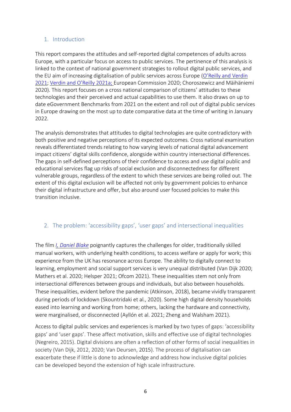## <span id="page-5-0"></span>1. Introduction

This report compares the attitudes and self-reported digital competences of adults across Europe, with a particular focus on access to public services. The pertinence of this analysis is linked to the context of national government strategies to rollout digital public services, and the EU aim of increasing digitalisation of public services across Europe ([O'Reilly and Verdin](https://euroship-research.eu/wp-content/uploads/2021/12/EUROSHIP-Working-Paper-No.-8-Comparing-the-digital-transformation-of-welfare-delivery-in-Europe.pdf)  [2021;](https://euroship-research.eu/wp-content/uploads/2021/12/EUROSHIP-Working-Paper-No.-8-Comparing-the-digital-transformation-of-welfare-delivery-in-Europe.pdf) [Verdin and O'Reilly 2021](https://euroship-research.eu/wp-content/uploads/2021/12/EUROSHIP-Working-Paper-No-9-The-digital-transformation-of-work-and-associated-risks.pdf)a; European Commission 2020; Choroszewicz and Mäihäniemi 2020). This report focuses on a cross national comparison of citizens' attitudes to these technologies and their perceived and actual capabilities to use them. It also draws on up to date eGovernment Benchmarks from 2021 on the extent and roll out of digital public services in Europe drawing on the most up to date comparative data at the time of writing in January 2022.

The analysis demonstrates that attitudes to digital technologies are quite contradictory with both positive and negative perceptions of its expected outcomes. Cross national examination reveals differentiated trends relating to how varying levels of national digital advancement impact citizens' digital skills confidence, alongside within country intersectional differences. The gaps in self-defined perceptions of their confidence to access and use digital public and educational services flag up risks of social exclusion and disconnectedness for different vulnerable groups, regardless of the extent to which these services are being rolled out. The extent of this digital exclusion will be affected not only by government policies to enhance their digital infrastructure and offer, but also around user focused policies to make this transition inclusive.

# <span id="page-5-1"></span>2. The problem: 'accessibility gaps', 'user gaps' and intersectional inequalities

The film *[I, Daniel Blake](https://www.imdb.com/title/tt5168192/)* poignantly captures the challenges for older, traditionally skilled manual workers, with underlying health conditions, to access welfare or apply for work; this experience from the UK has resonance across Europe. The ability to digitally connect to learning, employment and social support services is very unequal distributed (Van Dijk 2020; Mathers et al. 2020; Helsper 2021; Ofcom 2021). These inequalities stem not only from intersectional differences between groups and individuals, but also between households. These inequalities, evident before the pandemic (Atkinson, 2018), became vividly transparent during periods of lockdown (Skountridaki et al., 2020). Some high digital density households eased into learning and working from home; others, lacking the hardware and connectivity, were marginalised, or disconnected (Ayllón et al. 2021; Zheng and Walsham 2021).

Access to digital public services and experiences is marked by two types of gaps: 'accessibility gaps' and 'user gaps'. These affect motivation, skills and effective use of digital technologies (Negreiro, 2015). Digital divisions are often a reflection of other forms of social inequalities in society (Van Dijk, 2012, 2020; Van Deursen, 2015). The process of digitalisation can exacerbate these if little is done to acknowledge and address how inclusive digital policies can be developed beyond the extension of high scale infrastructure.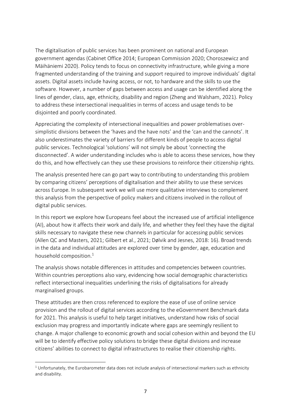The digitalisation of public services has been prominent on national and European government agendas (Cabinet Office 2014; European Commission 2020; Choroszewicz and Mäihäniemi 2020). Policy tends to focus on connectivity infrastructure, while giving a more fragmented understanding of the training and support required to improve individuals' digital assets. Digital assets include having access, or not, to hardware and the skills to use the software. However, a number of gaps between access and usage can be identified along the lines of gender, class, age, ethnicity, disability and region (Zheng and Walsham, 2021). Policy to address these intersectional inequalities in terms of access and usage tends to be disjointed and poorly coordinated.

Appreciating the complexity of intersectional inequalities and power problematises oversimplistic divisions between the 'haves and the have nots' and the 'can and the cannots'. It also underestimates the variety of barriers for different kinds of people to access digital public services. Technological 'solutions' will not simply be about 'connecting the disconnected'. A wider understanding includes who is able to access these services, how they do this, and how effectively can they use these provisions to reinforce their citizenship rights.

The analysis presented here can go part way to contributing to understanding this problem by comparing citizens' perceptions of digitalisation and their ability to use these services across Europe. In subsequent work we will use more qualitative interviews to complement this analysis from the perspective of policy makers and citizens involved in the rollout of digital public services.

In this report we explore how Europeans feel about the increased use of artificial intelligence (AI), about how it affects their work and daily life, and whether they feel they have the digital skills necessary to navigate these new channels in particular for accessing public services (Allen QC and Masters, 2021; Gilbert et al., 2021; Dølvik and Jesnes, 2018: 16). Broad trends in the data and individual attitudes are explored over time by gender, age, education and household composition. 1

The analysis shows notable differences in attitudes and competencies between countries. Within countries perceptions also vary, evidencing how social demographic characteristics reflect intersectional inequalities underlining the risks of digitalisations for already marginalised groups.

These attitudes are then cross referenced to explore the ease of use of online service provision and the rollout of digital services according to the eGovernment Benchmark data for 2021. This analysis is useful to help target initiatives, understand how risks of social exclusion may progress and importantly indicate where gaps are seemingly resilient to change. A major challenge to economic growth and social cohesion within and beyond the EU will be to identify effective policy solutions to bridge these digital divisions and increase citizens' abilities to connect to digital infrastructures to realise their citizenship rights.

 $1$  Unfortunately, the Eurobarometer data does not include analysis of intersectional markers such as ethnicity and disability.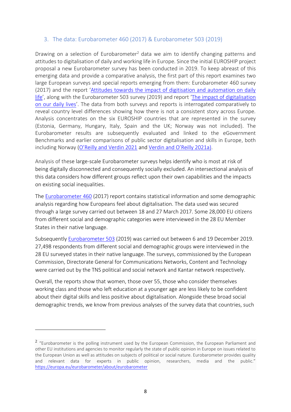#### <span id="page-7-0"></span>3. The data: Eurobarometer 460 (2017) & Eurobarometer 503 (2019)

Drawing on a selection of Eurobarometer<sup>2</sup> data we aim to identify changing patterns and attitudes to digitalisation of daily and working life in Europe. Since the initial EUROSHIP project proposal a new Eurobarometer survey has been conducted in 2019. To keep abreast of this emerging data and provide a comparative analysis, the first part of this report examines two large European surveys and special reports emerging from them: Eurobarometer 460 survey (2017) and the report '[Attitudes towards the impact of digitisation and automation on daily](https://ec.europa.eu/jrc/communities/sites/jrccties/files/ebs_460_en.pdf)  [life](https://ec.europa.eu/jrc/communities/sites/jrccties/files/ebs_460_en.pdf)', along with the Eurobarometer 503 survey (2019) and report '[The impact of digitalisation](https://data.europa.eu/data/datasets/s2228_92_4_503_eng?locale=en)  [on our daily lives](https://data.europa.eu/data/datasets/s2228_92_4_503_eng?locale=en)'. The data from both surveys and reports is interrogated comparatively to reveal country level differences showing how there is not a consistent story across Europe. Analysis concentrates on the six EUROSHIP countries that are represented in the survey (Estonia, Germany, Hungary, Italy, Spain and the UK; Norway was not included). The Eurobarometer results are subsequently evaluated and linked to the eGovernment Benchmarks and earlier comparisons of public sector digitalisation and skills in Europe, both including Norway ([O'Reilly and Verdin 2021](https://euroship-research.eu/wp-content/uploads/2021/12/EUROSHIP-Working-Paper-No.-8-Comparing-the-digital-transformation-of-welfare-delivery-in-Europe.pdf) and [Verdin and O'Reilly 2021a](https://euroship-research.eu/wp-content/uploads/2021/12/EUROSHIP-Working-Paper-No-9-The-digital-transformation-of-work-and-associated-risks.pdf)).

Analysis of these large-scale Eurobarometer surveys helps identify who is most at risk of being digitally disconnected and consequently socially excluded. An intersectional analysis of this data considers how different groups reflect upon their own capabilities and the impacts on existing social inequalities.

The [Eurobarometer 460](https://www.smeacademy.eu/uploads/5/2/4/2/52422965/ebs_460_sum_en_1.pdf) (2017) report contains statistical information and some demographic analysis regarding how Europeans feel about digitalisation. The data used was secured through a large survey carried out between 18 and 27 March 2017. Some 28,000 EU citizens from different social and demographic categories were interviewed in the 28 EU Member States in their native language.

Subsequently [Eurobarometer 503](https://data.europa.eu/data/datasets/s2228_92_4_503_eng?locale=en) (2019) was carried out between 6 and 19 December 2019. 27,498 respondents from different social and demographic groups were interviewed in the 28 EU surveyed states in their native language. The surveys, commissioned by the European Commission, Directorate General for Communications Networks, Content and Technology were carried out by the TNS political and social network and Kantar network respectively.

Overall, the reports show that women, those over 55, those who consider themselves working class and those who left education at a younger age are less likely to be confident about their digital skills and less positive about digitalisation. Alongside these broad social demographic trends, we know from previous analyses of the survey data that countries, such

 $2$  "Eurobarometer is the polling instrument used by the European Commission, the European Parliament and other EU institutions and agencies to monitor regularly the state of public opinion in Europe on issues related to the European Union as well as attitudes on subjects of political or social nature. Eurobarometer provides quality and relevant data for experts in public opinion, researchers, media and the public." <https://europa.eu/eurobarometer/about/eurobarometer>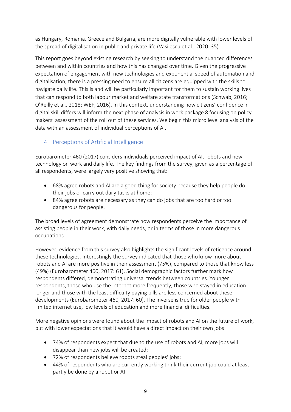as Hungary, Romania, Greece and Bulgaria, are more digitally vulnerable with lower levels of the spread of digitalisation in public and private life (Vasilescu et al., 2020: 35).

This report goes beyond existing research by seeking to understand the nuanced differences between and within countries and how this has changed over time. Given the progressive expectation of engagement with new technologies and exponential speed of automation and digitalisation, there is a pressing need to ensure all citizens are equipped with the skills to navigate daily life. This is and will be particularly important for them to sustain working lives that can respond to both labour market and welfare state transformations (Schwab, 2016; O'Reilly et al., 2018; WEF, 2016). In this context, understanding how citizens' confidence in digital skill differs will inform the next phase of analysis in work package 8 focusing on policy makers' assessment of the roll out of these services. We begin this micro level analysis of the data with an assessment of individual perceptions of AI.

# <span id="page-8-0"></span>4. Perceptions of Artificial Intelligence

Eurobarometer 460 (2017) considers individuals perceived impact of AI, robots and new technology on work and daily life. The key findings from the survey, given as a percentage of all respondents, were largely very positive showing that:

- 68% agree robots and AI are a good thing for society because they help people do their jobs or carry out daily tasks at home;
- 84% agree robots are necessary as they can do jobs that are too hard or too dangerous for people.

The broad levels of agreement demonstrate how respondents perceive the importance of assisting people in their work, with daily needs, or in terms of those in more dangerous occupations.

However, evidence from this survey also highlights the significant levels of reticence around these technologies. Interestingly the survey indicated that those who know more about robots and AI are more positive in their assessment (75%), compared to those that know less (49%) (Eurobarometer 460, 2017: 61). Social demographic factors further mark how respondents differed, demonstrating universal trends between countries. Younger respondents, those who use the internet more frequently, those who stayed in education longer and those with the least difficulty paying bills are less concerned about these developments (Eurobarometer 460, 2017: 60). The inverse is true for older people with limited internet use, low levels of education and more financial difficulties.

More negative opinions were found about the impact of robots and AI on the future of work, but with lower expectations that it would have a direct impact on their own jobs:

- 74% of respondents expect that due to the use of robots and AI, more jobs will disappear than new jobs will be created;
- 72% of respondents believe robots steal peoples' jobs;
- 44% of respondents who are currently working think their current job could at least partly be done by a robot or AI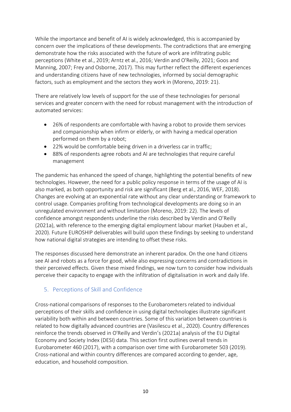While the importance and benefit of AI is widely acknowledged, this is accompanied by concern over the implications of these developments. The contradictions that are emerging demonstrate how the risks associated with the future of work are infiltrating public perceptions (White et al., 2019; Arntz et al., 2016; Verdin and O'Reilly, 2021; Goos and Manning, 2007; Frey and Osborne, 2017). This may further reflect the different experiences and understanding citizens have of new technologies, informed by social demographic factors, such as employment and the sectors they work in (Moreno, 2019: 21).

There are relatively low levels of support for the use of these technologies for personal services and greater concern with the need for robust management with the introduction of automated services:

- 26% of respondents are comfortable with having a robot to provide them services and companionship when infirm or elderly, or with having a medical operation performed on them by a robot;
- 22% would be comfortable being driven in a driverless car in traffic;
- 88% of respondents agree robots and AI are technologies that require careful management

The pandemic has enhanced the speed of change, highlighting the potential benefits of new technologies. However, the need for a public policy response in terms of the usage of AI is also marked, as both opportunity and risk are significant (Berg et al., 2016, WEF, 2018). Changes are evolving at an exponential rate without any clear understanding or framework to control usage. Companies profiting from technological developments are doing so in an unregulated environment and without limitation (Moreno, 2019: 22). The levels of confidence amongst respondents underline the risks described by Verdin and O'Reilly (2021a), with reference to the emerging digital employment labour market (Hauben et al., 2020). Future EUROSHIP deliverables will build upon these findings by seeking to understand how national digital strategies are intending to offset these risks.

The responses discussed here demonstrate an inherent paradox. On the one hand citizens see AI and robots as a force for good, while also expressing concerns and contradictions in their perceived effects. Given these mixed findings, we now turn to consider how individuals perceive their capacity to engage with the infiltration of digitalisation in work and daily life.

# <span id="page-9-0"></span>5. Perceptions of Skill and Confidence

Cross-national comparisons of responses to the Eurobarometers related to individual perceptions of their skills and confidence in using digital technologies illustrate significant variability both within and between countries. Some of this variation between countries is related to how digitally advanced countries are (Vasilescu et al., 2020). Country differences reinforce the trends observed in O'Reilly and Verdin's (2021a) analysis of the EU Digital Economy and Society Index (DESI) data. This section first outlines overall trends in Eurobarometer 460 (2017), with a comparison over time with Eurobarometer 503 (2019). Cross-national and within country differences are compared according to gender, age, education, and household composition.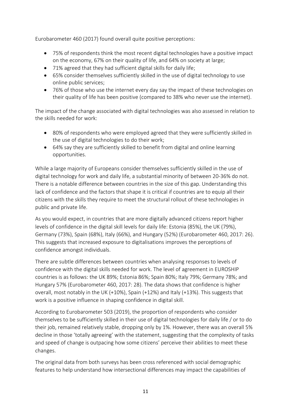Eurobarometer 460 (2017) found overall quite positive perceptions:

- 75% of respondents think the most recent digital technologies have a positive impact on the economy, 67% on their quality of life, and 64% on society at large;
- 71% agreed that they had sufficient digital skills for daily life;
- 65% consider themselves sufficiently skilled in the use of digital technology to use online public services;
- 76% of those who use the internet every day say the impact of these technologies on their quality of life has been positive (compared to 38% who never use the internet).

The impact of the change associated with digital technologies was also assessed in relation to the skills needed for work:

- 80% of respondents who were employed agreed that they were sufficiently skilled in the use of digital technologies to do their work;
- 64% say they are sufficiently skilled to benefit from digital and online learning opportunities.

While a large majority of Europeans consider themselves sufficiently skilled in the use of digital technology for work and daily life, a substantial minority of between 20-36% do not. There is a notable difference between countries in the size of this gap. Understanding this lack of confidence and the factors that shape it is critical if countries are to equip all their citizens with the skills they require to meet the structural rollout of these technologies in public and private life.

As you would expect, in countries that are more digitally advanced citizens report higher levels of confidence in the digital skill levels for daily life: Estonia (85%), the UK (79%), Germany (73%), Spain (68%), Italy (66%), and Hungary (52%) (Eurobarometer 460, 2017: 26). This suggests that increased exposure to digitalisations improves the perceptions of confidence amongst individuals.

There are subtle differences between countries when analysing responses to levels of confidence with the digital skills needed for work. The level of agreement in EUROSHIP countries is as follows: the UK 89%; Estonia 86%; Spain 80%; Italy 79%; Germany 78%; and Hungary 57% (Eurobarometer 460, 2017: 28). The data shows that confidence is higher overall, most notably in the UK (+10%), Spain (+12%) and Italy (+13%). This suggests that work is a positive influence in shaping confidence in digital skill.

According to Eurobarometer 503 (2019), the proportion of respondents who consider themselves to be sufficiently skilled in their use of digital technologies for daily life / or to do their job, remained relatively stable, dropping only by 1%. However, there was an overall 5% decline in those 'totally agreeing' with the statement, suggesting that the complexity of tasks and speed of change is outpacing how some citizens' perceive their abilities to meet these changes.

The original data from both surveys has been cross referenced with social demographic features to help understand how intersectional differences may impact the capabilities of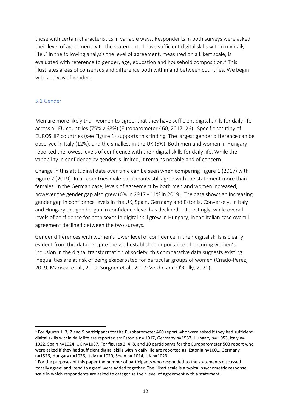those with certain characteristics in variable ways. Respondents in both surveys were asked their level of agreement with the statement, 'I have sufficient digital skills within my daily life'.<sup>3</sup> In the following analysis the level of agreement, measured on a Likert scale, is evaluated with reference to gender, age, education and household composition. <sup>4</sup> This illustrates areas of consensus and difference both within and between countries. We begin with analysis of gender.

#### <span id="page-11-0"></span>5.1 Gender

Men are more likely than women to agree, that they have sufficient digital skills for daily life across all EU countries (75% v 68%) (Eurobarometer 460, 2017: 26). Specific scrutiny of EUROSHIP countries (see Figure 1) supports this finding. The largest gender difference can be observed in Italy (12%), and the smallest in the UK (5%). Both men and women in Hungary reported the lowest levels of confidence with their digital skills for daily life. While the variability in confidence by gender is limited, it remains notable and of concern.

Change in this attitudinal data over time can be seen when comparing Figure 1 (2017) with Figure 2 (2019). In all countries male participants still agree with the statement more than females. In the German case, levels of agreement by both men and women increased, however the gender gap also grew (6% in 2917 - 11% in 2019). The data shows an increasing gender gap in confidence levels in the UK, Spain, Germany and Estonia. Conversely, in Italy and Hungary the gender gap in confidence level has declined. Interestingly, while overall levels of confidence for both sexes in digital skill grew in Hungary, in the Italian case overall agreement declined between the two surveys.

Gender differences with women's lower level of confidence in their digital skills is clearly evident from this data. Despite the well-established importance of ensuring women's inclusion in the digital transformation of society, this comparative data suggests existing inequalities are at risk of being exacerbated for particular groups of women (Criado-Perez, 2019; Mariscal et al., 2019; Sorgner et al., 2017; Verdin and O'Reilly, 2021).

<sup>&</sup>lt;sup>3</sup> For figures 1, 3, 7 and 9 participants for the Eurobarometer 460 report who were asked if they had sufficient digital skills within daily life are reported as: Estonia n= 1017, Germany n=1537, Hungary n= 1053, Italy n= 1022, Spain n=1024, UK n=1037. For figures 2, 4, 8, and 10 participants for the Eurobarometer 503 report who were asked if they had sufficient digital skills within daily life are reported as: Estonia n=1001, Germany n=1526, Hungary n=1026, Italy n= 1020, Spain n= 1014, UK n=1023

<sup>&</sup>lt;sup>4</sup> For the purposes of this paper the number of participants who responded to the statements discussed 'totally agree' and 'tend to agree' were added together. The Likert scale is a typical psychometric response scale in which respondents are asked to categorise their level of agreement with a statement.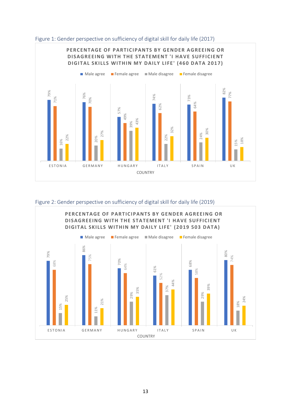

<span id="page-12-0"></span>

<span id="page-12-1"></span>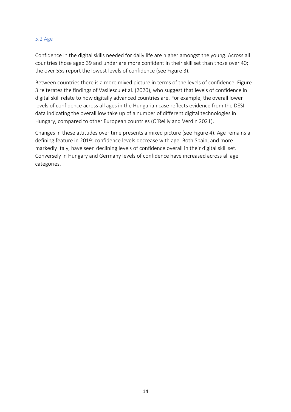#### <span id="page-13-0"></span>5.2 Age

Confidence in the digital skills needed for daily life are higher amongst the young. Across all countries those aged 39 and under are more confident in their skill set than those over 40; the over 55s report the lowest levels of confidence (see Figure 3).

Between countries there is a more mixed picture in terms of the levels of confidence. Figure 3 reiterates the findings of Vasilescu et al. (2020), who suggest that levels of confidence in digital skill relate to how digitally advanced countries are. For example, the overall lower levels of confidence across all ages in the Hungarian case reflects evidence from the DESI data indicating the overall low take up of a number of different digital technologies in Hungary, compared to other European countries (O'Reilly and Verdin 2021).

Changes in these attitudes over time presents a mixed picture (see Figure 4). Age remains a defining feature in 2019: confidence levels decrease with age. Both Spain, and more markedly Italy, have seen declining levels of confidence overall in their digital skill set. Conversely in Hungary and Germany levels of confidence have increased across all age categories.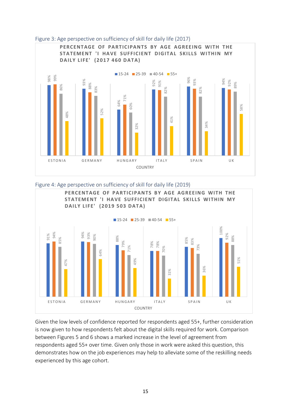

#### <span id="page-14-0"></span>Figure 3: Age perspective on sufficiency of skill for daily life (2017)

<span id="page-14-1"></span>



Given the low levels of confidence reported for respondents aged 55+, further consideration is now given to how respondents felt about the digital skills required for work. Comparison between Figures 5 and 6 shows a marked increase in the level of agreement from respondents aged 55+ over time. Given only those in work were asked this question, this demonstrates how on the job experiences may help to alleviate some of the reskilling needs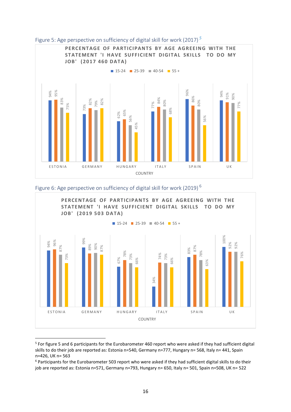<span id="page-15-0"></span>

<span id="page-15-1"></span>

<sup>&</sup>lt;sup>5</sup> For figure 5 and 6 participants for the Eurobarometer 460 report who were asked if they had sufficient digital skills to do their job are reported as: Estonia n=540, Germany n=777, Hungary n= 568, Italy n= 441, Spain n=426, UK n= 563

<sup>&</sup>lt;sup>6</sup> Participants for the Eurobarometer 503 report who were asked if they had sufficient digital skills to do their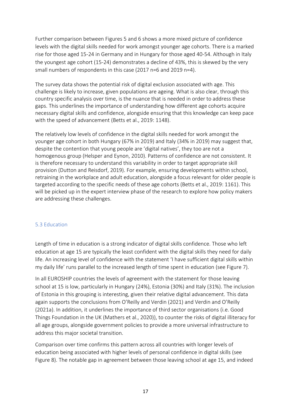Further comparison between Figures 5 and 6 shows a more mixed picture of confidence levels with the digital skills needed for work amongst younger age cohorts. There is a marked rise for those aged 15-24 in Germany and in Hungary for those aged 40-54. Although in Italy the youngest age cohort (15-24) demonstrates a decline of 43%, this is skewed by the very small numbers of respondents in this case (2017 n=6 and 2019 n=4).

The survey data shows the potential risk of digital exclusion associated with age. This challenge is likely to increase, given populations are ageing. What is also clear, through this country specific analysis over time, is the nuance that is needed in order to address these gaps. This underlines the importance of understanding how different age cohorts acquire necessary digital skills and confidence, alongside ensuring that this knowledge can keep pace with the speed of advancement (Betts et al., 2019: 1148).

The relatively low levels of confidence in the digital skills needed for work amongst the younger age cohort in both Hungary (67% in 2019) and Italy (34% in 2019) may suggest that, despite the contention that young people are 'digital natives', they too are not a homogenous group (Helsper and Eynon, 2010). Patterns of confidence are not consistent. It is therefore necessary to understand this variability in order to target appropriate skill provision (Dutton and Reisdorf, 2019). For example, ensuring developments within school, retraining in the workplace and adult education, alongside a focus relevant for older people is targeted according to the specific needs of these age cohorts (Betts et al., 2019: 1161). This will be picked up in the expert interview phase of the research to explore how policy makers are addressing these challenges.

## <span id="page-16-0"></span>5.3 Education

Length of time in education is a strong indicator of digital skills confidence. Those who left education at age 15 are typically the least confident with the digital skills they need for daily life. An increasing level of confidence with the statement 'I have sufficient digital skills within my daily life' runs parallel to the increased length of time spent in education (see Figure 7).

In all EUROSHIP countries the levels of agreement with the statement for those leaving school at 15 is low, particularly in Hungary (24%), Estonia (30%) and Italy (31%). The inclusion of Estonia in this grouping is interesting, given their relative digital advancement. This data again supports the conclusions from O'Reilly and Verdin (2021) and Verdin and O'Reilly (2021a). In addition, it underlines the importance of third sector organisations (i.e. Good Things Foundation in the UK (Mathers et al., 2020)), to counter the risks of digital illiteracy for all age groups, alongside government policies to provide a more universal infrastructure to address this major societal transition.

Comparison over time confirms this pattern across all countries with longer levels of education being associated with higher levels of personal confidence in digital skills (see Figure 8). The notable gap in agreement between those leaving school at age 15, and indeed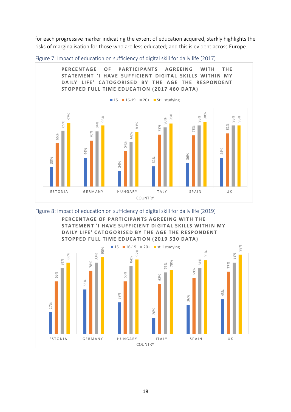for each progressive marker indicating the extent of education acquired, starkly highlights the risks of marginalisation for those who are less educated; and this is evident across Europe.



<span id="page-17-0"></span>Figure 7: Impact of education on sufficiency of digital skill for daily life (2017)

<span id="page-17-1"></span>

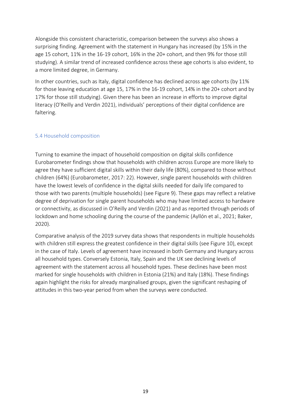Alongside this consistent characteristic, comparison between the surveys also shows a surprising finding. Agreement with the statement in Hungary has increased (by 15% in the age 15 cohort, 11% in the 16-19 cohort, 16% in the 20+ cohort, and then 9% for those still studying). A similar trend of increased confidence across these age cohorts is also evident, to a more limited degree, in Germany.

In other countries, such as Italy, digital confidence has declined across age cohorts (by 11% for those leaving education at age 15, 17% in the 16-19 cohort, 14% in the 20+ cohort and by 17% for those still studying). Given there has been an increase in efforts to improve digital literacy (O'Reilly and Verdin 2021), individuals' perceptions of their digital confidence are faltering.

#### <span id="page-18-0"></span>5.4 Household composition

Turning to examine the impact of household composition on digital skills confidence Eurobarometer findings show that households with children across Europe are more likely to agree they have sufficient digital skills within their daily life (80%), compared to those without children (64%) (Eurobarometer, 2017: 22). However, single parent households with children have the lowest levels of confidence in the digital skills needed for daily life compared to those with two parents (multiple households) (see Figure 9). These gaps may reflect a relative degree of deprivation for single parent households who may have limited access to hardware or connectivity, as discussed in O'Reilly and Verdin (2021) and as reported through periods of lockdown and home schooling during the course of the pandemic (Ayllón et al., 2021; Baker, 2020).

Comparative analysis of the 2019 survey data shows that respondents in multiple households with children still express the greatest confidence in their digital skills (see Figure 10), except in the case of Italy. Levels of agreement have increased in both Germany and Hungary across all household types. Conversely Estonia, Italy, Spain and the UK see declining levels of agreement with the statement across all household types. These declines have been most marked for single households with children in Estonia (21%) and Italy (18%). These findings again highlight the risks for already marginalised groups, given the significant reshaping of attitudes in this two-year period from when the surveys were conducted.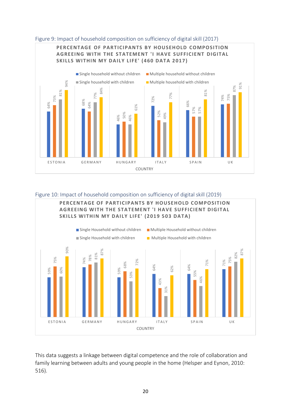

#### <span id="page-19-0"></span>Figure 9: Impact of household composition on sufficiency of digital skill (2017)

#### <span id="page-19-1"></span>Figure 10: Impact of household composition on sufficiency of digital skill (2019)



This data suggests a linkage between digital competence and the role of collaboration and family learning between adults and young people in the home (Helsper and Eynon, 2010:  $516$ ).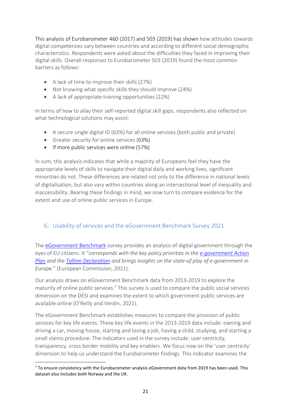This analysis of Eurobarometer 460 (2017) and 503 (2019) has shown how attitudes towards digital competences vary between countries and according to different social demographic characteristics. Respondents were asked about the difficulties they faced in improving their digital skills. Overall responses to Eurobarometer 503 (2019) found the most common barriers as follows:

- A lack of time to improve their skills (27%)
- Not knowing what specific skills they should improve (24%)
- A lack of appropriate training opportunities (22%)

In terms of how to allay their self-reported digital skill gaps, respondents also reflected on what technological solutions may assist:

- A secure single digital ID (63%) for all online services (both public and private)
- Greater security for online services (63%)
- If more public services were online (57%)

In sum, this analysis indicates that while a majority of Europeans feel they have the appropriate levels of skills to navigate their digital daily and working lives, significant minorities do not. These differences are related not only to the difference in national levels of digitalisation, but also vary within countries along an intersectional level of inequality and inaccessibility. Bearing these findings in mind, we now turn to compare evidence for the extent and use of online public services in Europe.

# <span id="page-20-0"></span>6. Usability of services and the eGovernment Benchmark Survey 2021

The [eGovernment Benchmark](https://digital-agenda-data.eu/datasets/e-gov/visualizations) survey provides an analysis of digital government through the eyes of EU citizens. It "*corresponds with the key policy priorities in the [e-government Action](https://digital-strategy.ec.europa.eu/en/policies/egovernment-action-plan)  [Plan](https://digital-strategy.ec.europa.eu/en/policies/egovernment-action-plan) and the [Tallinn Declaration](https://digital-strategy.ec.europa.eu/en/news/ministerial-declaration-egovernment-tallinn-declaration) and brings insights on the state-of play of e-government in Europe.*" (European Commission, 2021).

Our analysis draws on eGovernment Benchmark data from 2013-2019 to explore the maturity of online public services.<sup>7</sup> This survey is used to compare the public social services dimension on the DESI and examines the extent to which government public services are available online (O'Reilly and Verdin, 2021).

The eGovernment Benchmark establishes measures to compare the provision of public services for key life events. These key life events in the 2013-2019 data include: owning and driving a car, moving house, starting and losing a job, having a child, studying, and starting a small claims procedure. The indicators used in the survey include: user centricity, transparency, cross border mobility and key enablers. We focus now on the 'user centricity' dimension to help us understand the Eurobarometer findings. This indicator examines the

 $7$  To ensure consistency with the Eurobarometer analysis eGovernment data from 2019 has been used. This dataset also includes both Norway and the UK.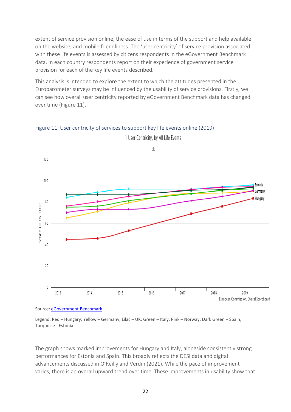extent of service provision online, the ease of use in terms of the support and help available on the website, and mobile friendliness. The 'user centricity' of service provision associated with these life events is assessed by citizens respondents in the eGovernment Benchmark data. In each country respondents report on their experience of government service provision for each of the key life events described.

This analysis is intended to explore the extent to which the attitudes presented in the Eurobarometer surveys may be influenced by the usability of service provisions. Firstly, we can see how overall user centricity reported by eGovernment Benchmark data has changed over time (Figure 11).



<span id="page-21-0"></span>Figure 11: User centricity of services to support key life events online (2019)

Source: [eGovernment Benchmark](https://digital-agenda-data.eu/datasets/e-gov/visualizations)

Legend: Red – Hungary; Yellow – Germany; Lilac – UK; Green – Italy; Pink – Norway; Dark Green – Spain; Turquoise - Estonia

The graph shows marked improvements for Hungary and Italy, alongside consistently strong performances for Estonia and Spain. This broadly reflects the DESI data and digital advancements discussed in O'Reilly and Verdin (2021). While the pace of improvement varies, there is an overall upward trend over time. These improvements in usability show that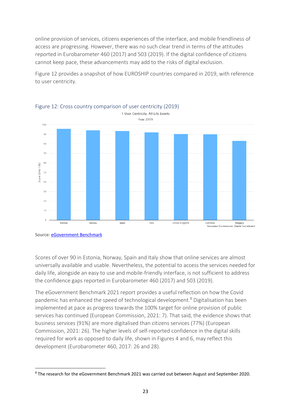online provision of services, citizens experiences of the interface, and mobile friendliness of access are progressing. However, there was no such clear trend in terms of the attitudes reported in Eurobarometer 460 (2017) and 503 (2019). If the digital confidence of citizens cannot keep pace, these advancements may add to the risks of digital exclusion.

Figure 12 provides a snapshot of how EUROSHIP countries compared in 2019, with reference to user centricity.



<span id="page-22-0"></span>

Source[: eGovernment Benchmark](https://digital-agenda-data.eu/datasets/e-gov/indicators)

Scores of over 90 in Estonia, Norway, Spain and Italy show that online services are almost universally available and usable. Nevertheless, the potential to access the services needed for daily life, alongside an easy to use and mobile-friendly interface, is not sufficient to address the confidence gaps reported in Eurobarometer 460 (2017) and 503 (2019).

The eGovernment Benchmark 2021 report provides a useful reflection on how the Covid pandemic has enhanced the speed of technological development. <sup>8</sup> Digitalisation has been implemented at pace as progress towards the 100% target for online provision of public services has continued (European Commission, 2021: 7). That said, the evidence shows that business services (91%) are more digitalised than citizens services (77%) (European Commission, 2021: 26). The higher levels of self-reported confidence in the digital skills required for work as opposed to daily life, shown in Figures 4 and 6, may reflect this development (Eurobarometer 460, 2017: 26 and 28).

<sup>8</sup> The research for the eGovernment Benchmark 2021 was carried out between August and September 2020.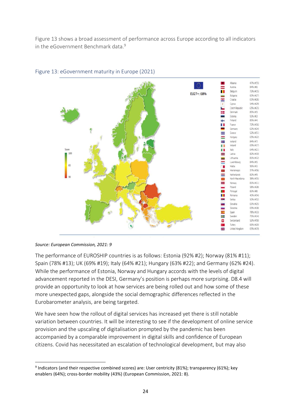Figure 13 shows a broad assessment of performance across Europe according to all indicators in the eGovernment Benchmark data.<sup>9</sup>



#### <span id="page-23-0"></span>Figure 13: eGovernment maturity in Europe (2021)

*Source: European Commission, 2021: 9*

The performance of EUROSHIP countries is as follows: Estonia (92% #2); Norway (81% #11); Spain (78% #13); UK (69% #19); Italy (64% #21); Hungary (63% #22); and Germany (62% #24). While the performance of Estonia, Norway and Hungary accords with the levels of digital advancement reported in the DESI, Germany's position is perhaps more surprising. D8.4 will provide an opportunity to look at how services are being rolled out and how some of these more unexpected gaps, alongside the social demographic differences reflected in the Eurobarometer analysis, are being targeted.

We have seen how the rollout of digital services has increased yet there is still notable variation between countries. It will be interesting to see if the development of online service provision and the upscaling of digitalisation prompted by the pandemic has been accompanied by a comparable improvement in digital skills and confidence of European citizens. Covid has necessitated an escalation of technological development, but may also

<sup>&</sup>lt;sup>9</sup> Indicators (and their respective combined scores) are: User centricity (81%); transparency (61%); key enablers (64%); cross-border mobility (43%) (European Commission, 2021: 8).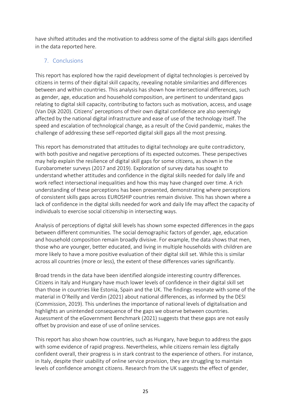have shifted attitudes and the motivation to address some of the digital skills gaps identified in the data reported here.

# <span id="page-24-0"></span>7. Conclusions

This report has explored how the rapid development of digital technologies is perceived by citizens in terms of their digital skill capacity, revealing notable similarities and differences between and within countries. This analysis has shown how intersectional differences, such as gender, age, education and household composition, are pertinent to understand gaps relating to digital skill capacity, contributing to factors such as motivation, access, and usage (Van Dijk 2020). Citizens' perceptions of their own digital confidence are also seemingly affected by the national digital infrastructure and ease of use of the technology itself. The speed and escalation of technological change, as a result of the Covid pandemic, makes the challenge of addressing these self-reported digital skill gaps all the most pressing.

This report has demonstrated that attitudes to digital technology are quite contradictory, with both positive and negative perceptions of its expected outcomes. These perspectives may help explain the resilience of digital skill gaps for some citizens, as shown in the Eurobarometer surveys (2017 and 2019). Exploration of survey data has sought to understand whether attitudes and confidence in the digital skills needed for daily life and work reflect intersectional inequalities and how this may have changed over time. A rich understanding of these perceptions has been presented, demonstrating where perceptions of consistent skills gaps across EUROSHIP countries remain divisive. This has shown where a lack of confidence in the digital skills needed for work and daily life may affect the capacity of individuals to exercise social citizenship in intersecting ways.

Analysis of perceptions of digital skill levels has shown some expected differences in the gaps between different communities. The social demographic factors of gender, age, education and household composition remain broadly divisive. For example, the data shows that men, those who are younger, better educated, and living in multiple households with children are more likely to have a more positive evaluation of their digital skill set. While this is similar across all countries (more or less), the extent of these differences varies significantly.

Broad trends in the data have been identified alongside interesting country differences. Citizens in Italy and Hungary have much lower levels of confidence in their digital skill set than those in countries like Estonia, Spain and the UK. The findings resonate with some of the material in O'Reilly and Verdin (2021) about national differences, as informed by the DESI (Commission, 2019). This underlines the importance of national levels of digitalisation and highlights an unintended consequence of the gaps we observe between countries. Assessment of the eGovernment Benchmark (2021) suggests that these gaps are not easily offset by provision and ease of use of online services.

This report has also shown how countries, such as Hungary, have begun to address the gaps with some evidence of rapid progress. Nevertheless, while citizens remain less digitally confident overall, their progress is in stark contrast to the experience of others. For instance, in Italy, despite their usability of online service provision, they are struggling to maintain levels of confidence amongst citizens. Research from the UK suggests the effect of gender,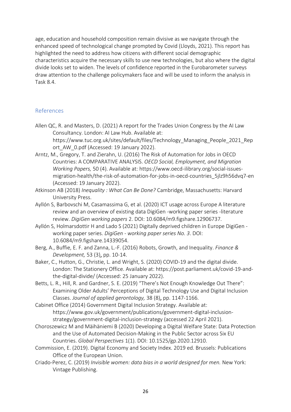age, education and household composition remain divisive as we navigate through the enhanced speed of technological change prompted by Covid (Lloyds, 2021). This report has highlighted the need to address how citizens with different social demographic characteristics acquire the necessary skills to use new technologies, but also where the digital divide looks set to widen. The levels of confidence reported in the Eurobarometer surveys draw attention to the challenge policymakers face and will be used to inform the analysis in Task 8.4.

## <span id="page-25-0"></span>References

- Allen QC, R. and Masters, D. (2021) A report for the Trades Union Congress by the AI Law Consultancy. London: AI Law Hub. Available at: [https://www.tuc.org.uk/sites/default/files/Technology\\_Managing\\_People\\_2021\\_Rep](https://www.tuc.org.uk/sites/default/files/Technology_Managing_People_2021_Report_AW_0.pdf) ort AW 0.pdf (Accessed: 19 January 2022).
- Arntz, M., Gregory, T. and Zierahn, U. (2016) The Risk of Automation for Jobs in OECD Countries: A COMPARATIVE ANALYSIS. *OECD Social, Employment, and Migration Working Papers,* 50 (4). Available at: [https://www.oecd-ilibrary.org/social-issues](https://www.oecd-ilibrary.org/social-issues-migration-health/the-risk-of-automation-for-jobs-in-oecd-countries_5jlz9h56dvq7-en)[migration-health/the-risk-of-automation-for-jobs-in-oecd-countries\\_5jlz9h56dvq7-en](https://www.oecd-ilibrary.org/social-issues-migration-health/the-risk-of-automation-for-jobs-in-oecd-countries_5jlz9h56dvq7-en) (Accessed: 19 January 2022).
- Atkinson AB (2018) *Inequality : What Can Be Done?* Cambridge, Massachusetts: Harvard University Press.
- Ayllón S, Barbovschi M, Casamassima G, et al. (2020) ICT usage across Europe A literature review and an overview of existing data DigiGen -working paper series -literature review. *DigiGen working papers* 2. DOI: 10.6084/m9.figshare.12906737.
- Ayllón S, Holmarsdottir H and Lado S (2021) Digitally deprived children in Europe DigiGen working paper series. *DigiGen - working paper series No. 3*. DOI: 10.6084/m9.figshare.14339054.
- Berg, A., Buffie, E. F. and Zanna, L.-F. (2016) Robots, Growth, and Inequality. *Finance & Development,* 53 (3), pp. 10-14.
- Baker, C., Hutton, G., Christie, L. and Wright, S. (2020) COVID-19 and the digital divide. London: The Stationery Office. Available at: [https://post.parliament.uk/covid-19-and](https://post.parliament.uk/covid-19-and-the-digital-divide/)[the-digital-divide/](https://post.parliament.uk/covid-19-and-the-digital-divide/) (Accessed: 25 January 2022).
- Betts, L. R., Hill, R. and Gardner, S. E. (2019) "There's Not Enough Knowledge Out There": Examining Older Adults' Perceptions of Digital Technology Use and Digital Inclusion Classes. *Journal of applied gerontology,* 38 (8), pp. 1147-1166.
- Cabinet Office (2014) Government Digital Inclusion Strategy. Available at: https://www.gov.uk/government/publications/government-digital-inclusionstrategy/government-digital-inclusion-strategy (accessed 22 April 2021).
- Choroszewicz M and Mäihäniemi B (2020) Developing a Digital Welfare State: Data Protection and the Use of Automated Decision-Making in the Public Sector across Six EU Countries. *Global Perspectives* 1(1). DOI: 10.1525/gp.2020.12910.
- Commission, E. (2019). Digital Economy and Society Index. 2019 ed. Brussels: Publications Office of the European Union.
- Criado-Perez, C. (2019) *Invisible women: data bias in a world designed for men.* New York: Vintage Publishing.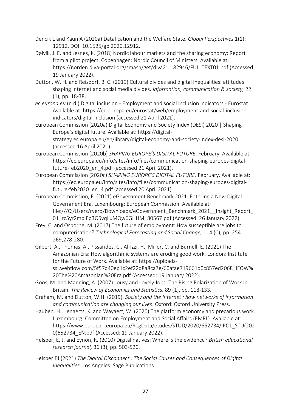- Dencik L and Kaun A (2020a) Datafication and the Welfare State. *Global Perspectives* 1(1): 12912. DOI: 10.1525/gp.2020.12912.
- Dølvik, J. E. and Jesnes, K. (2018) Nordic labour markets and the sharing economy: Report from a pilot project. Copenhagen: Nordic Council of Ministers. Available at: <https://norden.diva-portal.org/smash/get/diva2:1182946/FULLTEXT01.pdf> (Accessed: 19 January 2022).
- Dutton, W. H. and Reisdorf, B. C. (2019) Cultural divides and digital inequalities: attitudes shaping Internet and social media divides. *Information, communication & society,* 22 (1), pp. 18-38.
- *ec.europa.eu* (n.d.) Digital inclusion Employment and social inclusion indicators Eurostat. Available at: https://ec.europa.eu/eurostat/web/employment-and-social-inclusionindicators/digital-inclusion (accessed 21 April 2021).
- European Commission (2020a) Digital Economy and Society Index (DESI) 2020 | Shaping Europe's digital future. Available at: https://digitalstrategy.ec.europa.eu/en/library/digital-economy-and-society-index-desi-2020 (accessed 16 April 2021).
- European Commission (2020b) *SHAPING EUROPE'S DIGITAL FUTURE*. February. Available at: https://ec.europa.eu/info/sites/info/files/communication-shaping-europes-digitalfuture-feb2020 en 4.pdf (accessed 21 April 2021).
- European Commission (2020c) *SHAPING EUROPE'S DIGITAL FUTURE*. February. Available at: https://ec.europa.eu/info/sites/info/files/communication-shaping-europes-digitalfuture-feb2020 en 4.pdf (accessed 20 April 2021).
- European Commission, E. (2021) eGovernment Benchmark 2021: Entering a New Digital Government Era. Luxembourg: European Commission. Available at: [file:///C:/Users/rverd/Downloads/eGovernment\\_Benchmark\\_2021\\_\\_Insight\\_Report\\_](file:///C:/Users/rverd/Downloads/eGovernment_Benchmark_2021__Insight_Report_01_rc5yr2mplEp3O5vqLuMQw6GHHM_80567.pdf) 01 rc5yr2mplEp3O5vqLuMQw6GHHM\_80567.pdf (Accessed: 26 January 2022).
- Frey, C. and Osborne, M. (2017) The future of employment: How susceptible are jobs to computerisation? *Technological Forecasting and Social Change,* 114 (C), pp. 254- 269,278-280.
- Gilbert, A., Thomas, A., Pissarides, C., Al-Izzi, H., Miller, C. and Burnell, E. (2021) The Amazonian Era: How algorithmic systems are eroding good work. London: Institute for the Future of Work. Available at: [https://uploads](https://uploads-ssl.webflow.com/5f57d40eb1c2ef22d8a8ca7e/60afae719661d0c857ed2068_IFOW%20The%20Amazonian%20Era.pdf)[ssl.webflow.com/5f57d40eb1c2ef22d8a8ca7e/60afae719661d0c857ed2068\\_IFOW%](https://uploads-ssl.webflow.com/5f57d40eb1c2ef22d8a8ca7e/60afae719661d0c857ed2068_IFOW%20The%20Amazonian%20Era.pdf) [20The%20Amazonian%20Era.pdf](https://uploads-ssl.webflow.com/5f57d40eb1c2ef22d8a8ca7e/60afae719661d0c857ed2068_IFOW%20The%20Amazonian%20Era.pdf) (Accessed: 19 January 2022).
- Goos, M. and Manning, A. (2007) Lousy and Lovely Jobs: The Rising Polarization of Work in Britain. *The Review of Economics and Statistics,* 89 (1), pp. 118-133.
- Graham, M. and Dutton, W.H. (2019). *Society and the Internet : how networks of information and communication are changing our lives*. Oxford: Oxford University Press.
- Hauben, H., Lenaerts, K. and Wayaert, W. (2020) The platform economy and precarious work. Luxembourg: Committee on Employment and Social Affairs (EMPL). Available at: [https://www.europarl.europa.eu/RegData/etudes/STUD/2020/652734/IPOL\\_STU\(202](https://www.europarl.europa.eu/RegData/etudes/STUD/2020/652734/IPOL_STU(2020)652734_EN.pdf) [0\)652734\\_EN.pdf](https://www.europarl.europa.eu/RegData/etudes/STUD/2020/652734/IPOL_STU(2020)652734_EN.pdf) (Accessed: 19 January 2022).
- Helsper, E. J. and Eynon, R. (2010) Digital natives: Where is the evidence? *British educational research journal,* 36 (3), pp. 503-520.
- Helsper EJ (2021) *The Digital Disconnect : The Social Causes and Consequences of Digital Inequalities*. Los Angeles: Sage Publications.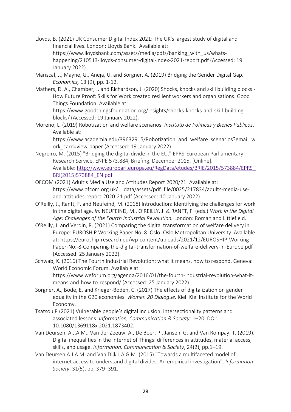- Lloyds, B. (2021) UK Consumer Digital Index 2021: The UK's largest study of digital and financial lives. London: Lloyds Bank. Available at: [https://www.lloydsbank.com/assets/media/pdfs/banking\\_with\\_us/whats](https://www.lloydsbank.com/assets/media/pdfs/banking_with_us/whats-happening/210513-lloyds-consumer-digital-index-2021-report.pdf)[happening/210513-lloyds-consumer-digital-index-2021-report.pdf](https://www.lloydsbank.com/assets/media/pdfs/banking_with_us/whats-happening/210513-lloyds-consumer-digital-index-2021-report.pdf) (Accessed: 19 January 2022).
- Mariscal, J., Mayne, G., Aneja, U. and Sorgner, A. (2019) Bridging the Gender Digital Gap. *Economics,* 13 (9), pp. 1-12.
- Mathers, D. A., Chamber, J. and Richardson, J. (2020) Shocks, knocks and skill building blocks How Future Proof: Skills for Work created resilient workers and organisations. Good Things Foundation. Available at:

[https://www.goodthingsfoundation.org/insights/shocks-knocks-and-skill-building](https://www.goodthingsfoundation.org/insights/shocks-knocks-and-skill-building-blocks/)[blocks/](https://www.goodthingsfoundation.org/insights/shocks-knocks-and-skill-building-blocks/) (Accessed: 19 January 2022).

Moreno, L. (2019) Robotization and welfare scenarios. *Instituto de Politicas y Bienes Publicos*. Available at:

https://www.academia.edu/39632915/Robotization and welfare scenarios?email w ork\_card=view-paper (Accessed: 19 January 2022).

- Negreiro, M. (2015) "Bridging the digital divide in the EU." EPRS-European Parliamentary Research Service, ENPE 573.884, Briefing, December 2015, [Online]. Available: [http://www.europarl.europa.eu/RegData/etudes/BRIE/2015/573884/EPRS\\_](http://www.europarl.europa.eu/RegData/etudes/BRIE/2015/573884/EPRS_BRI(2015)573884_EN.pdf) [BRI\(2015\)573884\\_EN.pdf](http://www.europarl.europa.eu/RegData/etudes/BRIE/2015/573884/EPRS_BRI(2015)573884_EN.pdf)
- OFCOM (2021) Adult's Media Use and Attitudes Report 2020/21. Available at: https://www.ofcom.org.uk/\_\_data/assets/pdf\_file/0025/217834/adults-media-useand-attitudes-report-2020-21.pdf (Accessed: 10 January 2022)
- O'Reilly, J., Ranft, F. and Neufeind, M. (2018) Introduction: Identifying the challenges for work in the digital age. *In:* NEUFEIND, M., O'REILLY, J. & RANFT, F. (eds.) *Work in the Digital Age: Challenges of the Fourth Industrial Revolution.* London: Roman and Littlefield.
- O'Reilly, J. and Verdin, R. (2021) Comparing the digital transformation of welfare delivery in Europe: EUROSHIP Working Paper No. 8. Oslo: Oslo Metropolitan University. Available at: [https://euroship-research.eu/wp-content/uploads/2021/12/EUROSHIP-Working-](https://euroship-research.eu/wp-content/uploads/2021/12/EUROSHIP-Working-Paper-No.-8-Comparing-the-digital-transformation-of-welfare-delivery-in-Europe.pdf)[Paper-No.-8-Comparing-the-digital-transformation-of-welfare-delivery-in-Europe.pdf](https://euroship-research.eu/wp-content/uploads/2021/12/EUROSHIP-Working-Paper-No.-8-Comparing-the-digital-transformation-of-welfare-delivery-in-Europe.pdf) (Accessed: 25 January 2022).
- Schwab, K. (2016) The Fourth Industrial Revolution: what it means, how to respond. Geneva: World Economic Forum. Available at: [https://www.weforum.org/agenda/2016/01/the-fourth-industrial-revolution-what-it](https://www.weforum.org/agenda/2016/01/the-fourth-industrial-revolution-what-it-means-and-how-to-respond/)[means-and-how-to-respond/](https://www.weforum.org/agenda/2016/01/the-fourth-industrial-revolution-what-it-means-and-how-to-respond/) (Accessed: 25 January 2022).
- Sorgner, A., Bode, E. and Krieger-Boden, C. (2017) The effects of digitalization on gender equality in the G20 economies. *Women 20 Dialogue.* Kiel: Kiel Institute for the World Economy.
- Tsatsou P (2021) Vulnerable people's digital inclusion: intersectionality patterns and associated lessons. *Information, Communication & Society*: 1–20. DOI: 10.1080/1369118x.2021.1873402.
- Van Deursen, A.J.A.M., Van der Zeeuw, A., De Boer, P., Jansen, G. and Van Rompay, T. (2019). Digital inequalities in the Internet of Things: differences in attitudes, material access, skills, and usage. *Information, Communication & Society*, 24(2), pp.1–19.
- Van Deursen A.J.A.M. and Van Dijk J.A.G.M. (2015) "Towards a multifaceted model of internet access to understand digital divides: An empirical investigation", *Information Society*, 31(5), pp. 379–391.